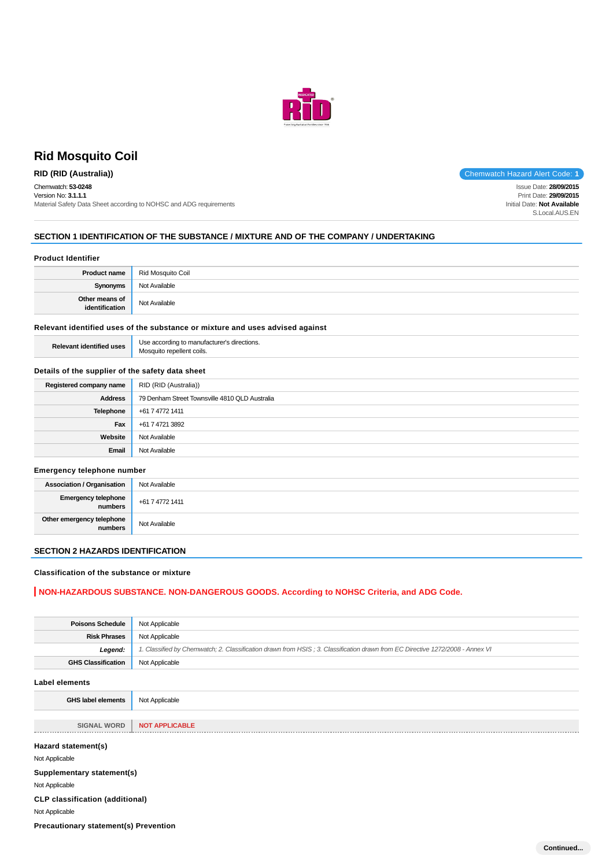

# **Rid Mosquito Coil**

Chemwatch: **53-0248** Version No: **3.1.1.1** Material Safety Data Sheet according to NOHSC and ADG requirements

**RID (RID (Australia))** Chemwatch Hazard Alert Code: **1** 

Issue Date: **28/09/2015** Print Date: **29/09/2015** Initial Date: **Not Available** S.Local.AUS.EN

### **SECTION 1 IDENTIFICATION OF THE SUBSTANCE / MIXTURE AND OF THE COMPANY / UNDERTAKING**

#### **Product Identifier**

| <b>Product name</b>              | Rid Mosquito Coil |
|----------------------------------|-------------------|
| Synonyms                         | Not Available     |
| Other means of<br>identification | Not Available     |

### **Relevant identified uses of the substance or mixture and uses advised against**

| <b>Relevant identified uses</b> | Use according to manufacturer's directions. |
|---------------------------------|---------------------------------------------|
|                                 | Mosquito repellent coils.                   |

### **Details of the supplier of the safety data sheet**

| Registered company name | RID (RID (Australia))                          |
|-------------------------|------------------------------------------------|
| <b>Address</b>          | 79 Denham Street Townsville 4810 QLD Australia |
| Telephone               | +61 7 4772 1411                                |
| Fax                     | +61 7 4721 3892                                |
| Website                 | Not Available                                  |
| Email                   | Not Available                                  |

### **Emergency telephone number**

| <b>Association / Organisation</b>    | Not Available   |
|--------------------------------------|-----------------|
| Emergency telephone<br>numbers       | +61 7 4772 1411 |
| Other emergency telephone<br>numbers | Not Available   |

## **SECTION 2 HAZARDS IDENTIFICATION**

#### **Classification of the substance or mixture**

### **NON-HAZARDOUS SUBSTANCE. NON-DANGEROUS GOODS. According to NOHSC Criteria, and ADG Code.**

| <b>Poisons Schedule</b>                      | Not Applicable                                                                                                                |
|----------------------------------------------|-------------------------------------------------------------------------------------------------------------------------------|
| <b>Risk Phrases</b>                          | Not Applicable                                                                                                                |
| Legend:                                      | 1. Classified by Chemwatch; 2. Classification drawn from HSIS; 3. Classification drawn from EC Directive 1272/2008 - Annex VI |
| <b>GHS Classification</b>                    | Not Applicable                                                                                                                |
| <b>Label elements</b>                        |                                                                                                                               |
| <b>GHS label elements</b>                    | Not Applicable                                                                                                                |
|                                              |                                                                                                                               |
| <b>SIGNAL WORD</b>                           | <b>NOT APPLICABLE</b>                                                                                                         |
| Hazard statement(s)<br>Not Applicable        |                                                                                                                               |
| Supplementary statement(s)                   |                                                                                                                               |
| Not Applicable                               |                                                                                                                               |
| <b>CLP classification (additional)</b>       |                                                                                                                               |
| Not Applicable                               |                                                                                                                               |
| <b>Precautionary statement(s) Prevention</b> |                                                                                                                               |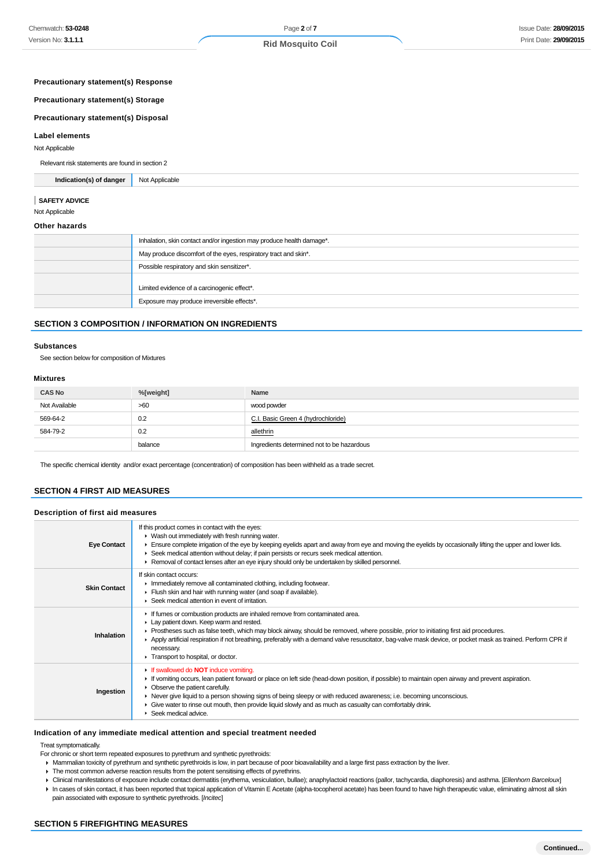**Precautionary statement(s) Response**

# **Precautionary statement(s) Storage**

# **Precautionary statement(s) Disposal**

#### **Label elements**

Not Applicable

Relevant risk statements are found in section 2

**Indication(s) of danger** Not Applicable

#### **SAFETY ADVICE**

Not Applicable

#### **Other hazards**

| Inhalation, skin contact and/or ingestion may produce health damage*. |
|-----------------------------------------------------------------------|
| May produce discomfort of the eyes, respiratory tract and skin*.      |
| Possible respiratory and skin sensitizer*.                            |
| Limited evidence of a carcinogenic effect*.                           |
| Exposure may produce irreversible effects*.                           |

### **SECTION 3 COMPOSITION / INFORMATION ON INGREDIENTS**

#### **Substances**

See section below for composition of Mixtures

### **Mixtures**

| <b>CAS No</b> | %[weight] | Name                                       |
|---------------|-----------|--------------------------------------------|
| Not Available | >60       | wood powder                                |
| 569-64-2      | 0.2       | C.I. Basic Green 4 (hydrochloride)         |
| 584-79-2      | 0.2       | allethrin                                  |
|               | balance   | Ingredients determined not to be hazardous |

The specific chemical identity and/or exact percentage (concentration) of composition has been withheld as a trade secret.

### **SECTION 4 FIRST AID MEASURES**

### **Description of first aid measures**

| <b>Eye Contact</b>  | If this product comes in contact with the eyes:<br>▶ Wash out immediately with fresh running water.<br>Ensure complete irrigation of the eye by keeping eyelids apart and away from eye and moving the eyelids by occasionally lifting the upper and lower lids.<br>► Seek medical attention without delay; if pain persists or recurs seek medical attention.<br>► Removal of contact lenses after an eye injury should only be undertaken by skilled personnel.                                                      |
|---------------------|------------------------------------------------------------------------------------------------------------------------------------------------------------------------------------------------------------------------------------------------------------------------------------------------------------------------------------------------------------------------------------------------------------------------------------------------------------------------------------------------------------------------|
| <b>Skin Contact</b> | If skin contact occurs:<br>In mediately remove all contaminated clothing, including footwear.<br>Flush skin and hair with running water (and soap if available).<br>Seek medical attention in event of irritation.                                                                                                                                                                                                                                                                                                     |
| Inhalation          | If fumes or combustion products are inhaled remove from contaminated area.<br>Lay patient down. Keep warm and rested.<br>► Prostheses such as false teeth, which may block airway, should be removed, where possible, prior to initiating first aid procedures.<br>▶ Apply artificial respiration if not breathing, preferably with a demand valve resuscitator, bag-valve mask device, or pocket mask as trained. Perform CPR if<br>necessary.<br>Transport to hospital, or doctor.                                   |
| Ingestion           | If swallowed do <b>NOT</b> induce vomiting.<br>If vomiting occurs, lean patient forward or place on left side (head-down position, if possible) to maintain open airway and prevent aspiration.<br>• Observe the patient carefully.<br>► Never give liquid to a person showing signs of being sleepy or with reduced awareness; i.e. becoming unconscious.<br>• Give water to rinse out mouth, then provide liquid slowly and as much as casualty can comfortably drink.<br>$\blacktriangleright$ Seek medical advice. |

#### **Indication of any immediate medical attention and special treatment needed**

Treat symptomatically.

For chronic or short term repeated exposures to pyrethrum and synthetic pyrethroids:

- Mammalian toxicity of pyrethrum and synthetic pyrethroids is low, in part because of poor bioavailability and a large first pass extraction by the liver.
- The most common adverse reaction results from the potent sensitising effects of pyrethrins.
- ▶ Clinical manifestations of exposure include contact dermatitis (erythema, vesiculation, bullae); anaphylactoid reactions (pallor, tachycardia, diaphoresis) and asthma. [Ellenhorn Barceloux]
- ▶ In cases of skin contact, it has been reported that topical application of Vitamin E Acetate (alpha-tocopherol acetate) has been found to have high therapeutic value, eliminating almost all skin pain associated with exposure to synthetic pyrethroids. [Incitec]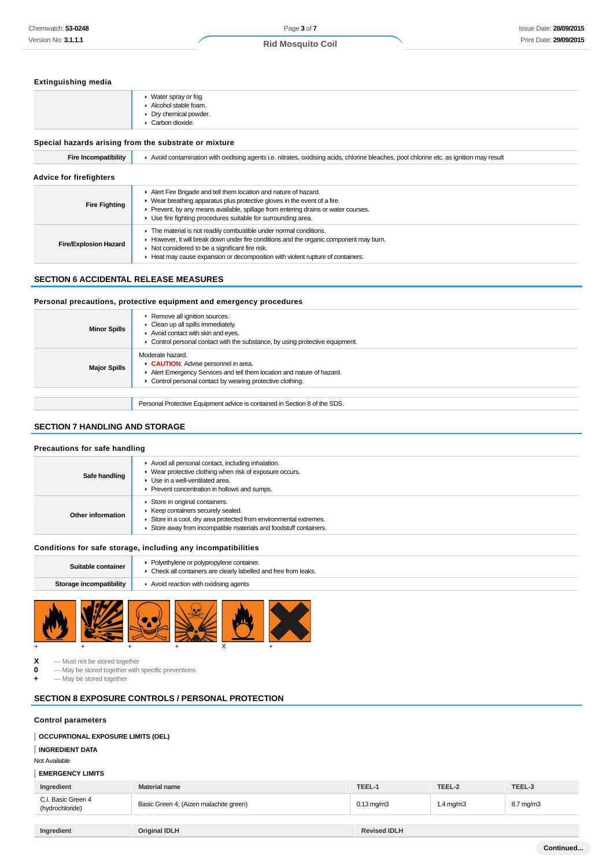### **Extinguishing media**

| ▶ Water spray or fog.<br>Alcohol stable foam.<br>• Dry chemical powder.<br>$\triangleright$ Carbon dioxide. |
|-------------------------------------------------------------------------------------------------------------|
| Special hazards arising from the substrate or mixture                                                       |

#### **Fire Incompatibility Avoid contamination with oxidising agents i.e. nitrates, oxidising acids, chlorine bleaches, pool chlorine etc. as ignition may result Advice for firefighters Fire Fighting** Alert Fire Brigade and tell them location and nature of hazard. Wear breathing apparatus plus protective gloves in the event of a fire. Prevent, by any means available, spillage from entering drains or water courses. Use fire fighting procedures suitable for surrounding area. **Fire/Explosion Hazard**  $\blacktriangleright$  The material is not readily combustible under normal conditions. However, it will break down under fire conditions and the organic component may burn. Not considered to be a significant fire risk. Heat may cause expansion or decomposition with violent rupture of containers.

### **SECTION 6 ACCIDENTAL RELEASE MEASURES**

### **Personal precautions, protective equipment and emergency procedures**

| <b>Minor Spills</b> | Remove all ignition sources.<br>$\triangleright$ Clean up all spills immediately.<br>Avoid contact with skin and eyes.<br>$\triangleright$ Control personal contact with the substance, by using protective equipment. |
|---------------------|------------------------------------------------------------------------------------------------------------------------------------------------------------------------------------------------------------------------|
| <b>Major Spills</b> | Moderate hazard.<br>CAUTION: Advise personnel in area.<br>Alert Emergency Services and tell them location and nature of hazard.<br>• Control personal contact by wearing protective clothing.                          |
|                     |                                                                                                                                                                                                                        |
|                     | Personal Protective Equipment advice is contained in Section 8 of the SDS.                                                                                                                                             |

# **SECTION 7 HANDLING AND STORAGE**

### **Precautions for safe handling**

| Safe handling     | Avoid all personal contact, including inhalation.<br>• Wear protective clothing when risk of exposure occurs.<br>Use in a well-ventilated area.<br>Prevent concentration in hollows and sumps.              |
|-------------------|-------------------------------------------------------------------------------------------------------------------------------------------------------------------------------------------------------------|
| Other information | Store in original containers.<br>▶ Keep containers securely sealed.<br>Store in a cool, dry area protected from environmental extremes.<br>Store away from incompatible materials and foodstuff containers. |

### **Conditions for safe storage, including any incompatibilities**

| Suitable container      | • Polyethylene or polypropylene container.<br>• Check all containers are clearly labelled and free from leaks. |
|-------------------------|----------------------------------------------------------------------------------------------------------------|
| Storage incompatibility | $\blacktriangleright$ Avoid reaction with oxidising agents                                                     |
|                         |                                                                                                                |



**X** — Must not be stored together<br>**0** — May be stored together with

**0** — May be stored together with specific preventions

 $-$  May be stored together

### **SECTION 8 EXPOSURE CONTROLS / PERSONAL PROTECTION**

### **Control parameters**

### **OCCUPATIONAL EXPOSURE LIMITS (OEL)**

### **INGREDIENT DATA**

Not Available

### **EMERGENCY LIMITS**

| _________________________             |                                        |                     |                      |           |
|---------------------------------------|----------------------------------------|---------------------|----------------------|-----------|
| Ingredient                            | <b>Material name</b>                   | TEEL-1              | TEEL-2               | TEEL-3    |
| C.I. Basic Green 4<br>(hydrochloride) | Basic Green 4; (Aizen malachite green) | $0.13 \text{ mg/m}$ | $1.4 \text{ mg/m}$ 3 | 8.7 mg/m3 |
|                                       |                                        |                     |                      |           |
| Ingredient                            | <b>Original IDLH</b>                   | <b>Revised IDLH</b> |                      |           |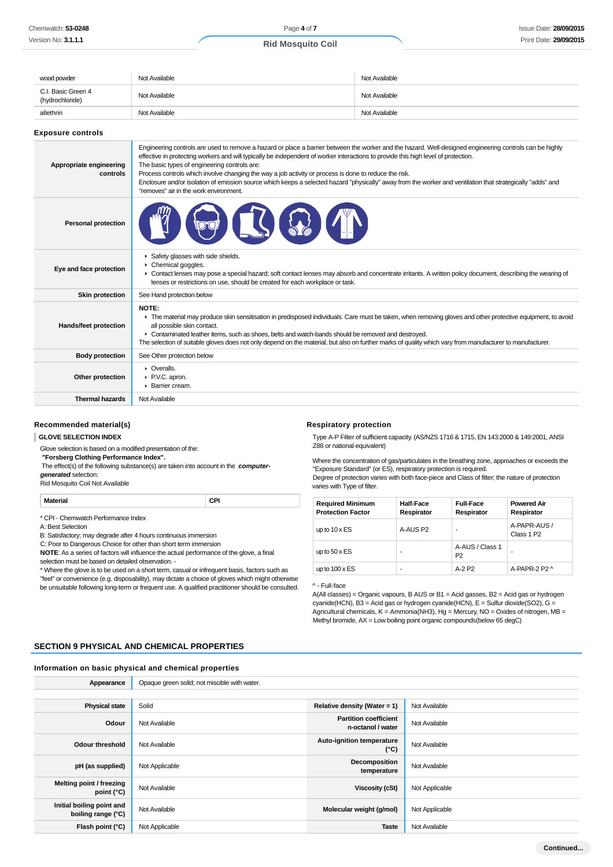| wood powder                           | Not Available                                                                                                                                                                                                                                                                                                                                                                                                                                                                                                                                                                                                                                                   | Not Available |
|---------------------------------------|-----------------------------------------------------------------------------------------------------------------------------------------------------------------------------------------------------------------------------------------------------------------------------------------------------------------------------------------------------------------------------------------------------------------------------------------------------------------------------------------------------------------------------------------------------------------------------------------------------------------------------------------------------------------|---------------|
| C.I. Basic Green 4<br>(hydrochloride) | Not Available                                                                                                                                                                                                                                                                                                                                                                                                                                                                                                                                                                                                                                                   | Not Available |
| allethrin                             | Not Available                                                                                                                                                                                                                                                                                                                                                                                                                                                                                                                                                                                                                                                   | Not Available |
| <b>Exposure controls</b>              |                                                                                                                                                                                                                                                                                                                                                                                                                                                                                                                                                                                                                                                                 |               |
| Appropriate engineering<br>controls   | Engineering controls are used to remove a hazard or place a barrier between the worker and the hazard. Well-designed engineering controls can be highly<br>effective in protecting workers and will typically be independent of worker interactions to provide this high level of protection.<br>The basic types of engineering controls are:<br>Process controls which involve changing the way a job activity or process is done to reduce the risk.<br>Enclosure and/or isolation of emission source which keeps a selected hazard "physically" away from the worker and ventilation that strategically "adds" and<br>"removes" air in the work environment. |               |
| <b>Personal protection</b>            |                                                                                                                                                                                                                                                                                                                                                                                                                                                                                                                                                                                                                                                                 |               |
| Eye and face protection               | Safety glasses with side shields.<br>Chemical goggles.<br>• Contact lenses may pose a special hazard; soft contact lenses may absorb and concentrate irritants. A written policy document, describing the wearing of<br>lenses or restrictions on use, should be created for each workplace or task.                                                                                                                                                                                                                                                                                                                                                            |               |
| <b>Skin protection</b>                | See Hand protection below                                                                                                                                                                                                                                                                                                                                                                                                                                                                                                                                                                                                                                       |               |
| Hands/feet protection                 | NOTE:<br>The material may produce skin sensitisation in predisposed individuals. Care must be taken, when removing gloves and other protective equipment, to avoid<br>all possible skin contact.<br>► Contaminated leather items, such as shoes, belts and watch-bands should be removed and destroyed.<br>The selection of suitable gloves does not only depend on the material, but also on further marks of quality which vary from manufacturer to manufacturer.                                                                                                                                                                                            |               |
| <b>Body protection</b>                | See Other protection below                                                                                                                                                                                                                                                                                                                                                                                                                                                                                                                                                                                                                                      |               |
| Other protection                      | $\triangleright$ Overalls.<br>P.V.C. apron.<br>▶ Barrier cream.                                                                                                                                                                                                                                                                                                                                                                                                                                                                                                                                                                                                 |               |
| <b>Thermal hazards</b>                | Not Available                                                                                                                                                                                                                                                                                                                                                                                                                                                                                                                                                                                                                                                   |               |

### **Recommended material(s)**

#### **GLOVE SELECTION INDEX**

Glove selection is based on a modified presentation of the:

 **"Forsberg Clothing Performance Index".**

 The effect(s) of the following substance(s) are taken into account in the **computergenerated** selection:

Rid Mosquito Coil Not Available

**Material CPI**

\* CPI - Chemwatch Performance Index

A: Best Selection

B: Satisfactory; may degrade after 4 hours continuous immersion

C: Poor to Dangerous Choice for other than short term immersion

**NOTE**: As a series of factors will influence the actual performance of the glove, a final

selection must be based on detailed observation. -

\* Where the glove is to be used on a short term, casual or infrequent basis, factors such as "feel" or convenience (e.g. disposability), may dictate a choice of gloves which might otherwise be unsuitable following long-term or frequent use. A qualified practitioner should be consulted.

#### **Respiratory protection**

Type A-P Filter of sufficient capacity. (AS/NZS 1716 & 1715, EN 143:2000 & 149:2001, ANSI Z88 or national equivalent)

Where the concentration of gas/particulates in the breathing zone, approaches or exceeds the "Exposure Standard" (or ES), respiratory protection is required. Degree of protection varies with both face-piece and Class of filter; the nature of protection varies with Type of filter.

| <b>Required Minimum</b><br><b>Protection Factor</b> | <b>Half-Face</b><br>Respirator | <b>Full-Face</b><br>Respirator    | <b>Powered Air</b><br>Respirator       |
|-----------------------------------------------------|--------------------------------|-----------------------------------|----------------------------------------|
| up to $10 \times ES$                                | A-AUS P2                       | ۰                                 | A-PAPR-AUS /<br>Class 1 P <sub>2</sub> |
| up to $50 \times ES$                                | -                              | A-AUS / Class 1<br>P <sub>2</sub> | -                                      |
| up to $100 \times ES$                               | -                              | $A-2P2$                           | A-PAPR-2 P2 $\land$                    |

^ - Full-face

A(All classes) = Organic vapours, B AUS or B1 = Acid gasses, B2 = Acid gas or hydrogen cyanide(HCN), B3 = Acid gas or hydrogen cyanide(HCN), E = Sulfur dioxide(SO2), G = Agricultural chemicals, K = Ammonia(NH3), Hg = Mercury, NO = Oxides of nitrogen, MB = Methyl bromide, AX = Low boiling point organic compounds(below 65 degC)

### **SECTION 9 PHYSICAL AND CHEMICAL PROPERTIES**

### **Information on basic physical and chemical properties**

| Appearance                                      | Opaque green solid; not miscible with water. |                                                   |                |
|-------------------------------------------------|----------------------------------------------|---------------------------------------------------|----------------|
|                                                 |                                              |                                                   |                |
| <b>Physical state</b>                           | Solid                                        | Relative density (Water = 1)                      | Not Available  |
| Odour                                           | Not Available                                | <b>Partition coefficient</b><br>n-octanol / water | Not Available  |
| <b>Odour threshold</b>                          | Not Available                                | <b>Auto-ignition temperature</b><br>(°C)          | Not Available  |
| pH (as supplied)                                | Not Applicable                               | Decomposition<br>temperature                      | Not Available  |
| Melting point / freezing<br>point (°C)          | Not Available                                | Viscosity (cSt)                                   | Not Applicable |
| Initial boiling point and<br>boiling range (°C) | Not Available                                | Molecular weight (g/mol)                          | Not Applicable |
| Flash point (°C)                                | Not Applicable                               | <b>Taste</b>                                      | Not Available  |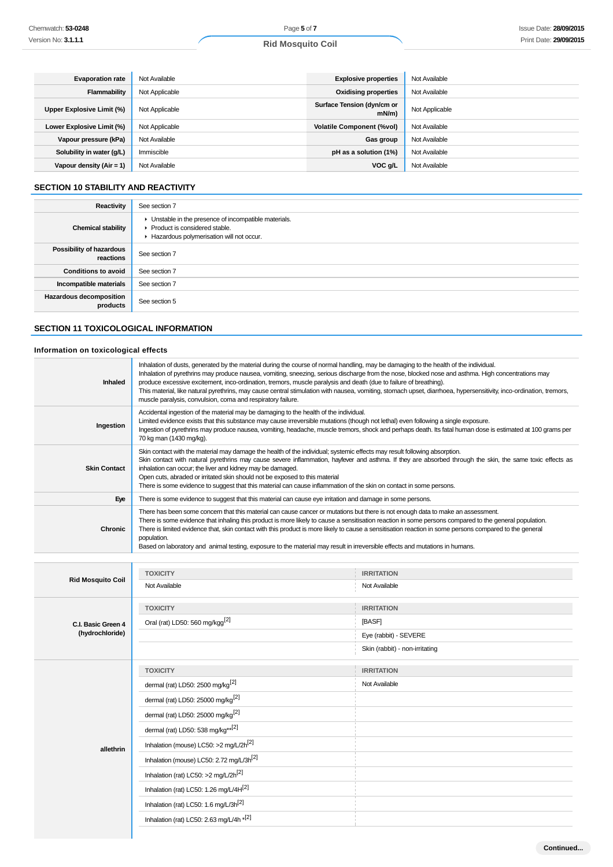# **Evaporation rate** Not Available **Explosive properties** Not Available **Flammability** Not Applicable **Constanting and Constanting District Applicable Constanting Properties** Not Available Upper Explosive Limit (%) **Not Applicable <b>Surface Tension** (dyn/cm or contact Tension (dyn/cm or contact Tension (dyn/cm or contact tension (dyn/cm or contact tension (dyn/cm or contact tension (dyn/m) and contact tension **Not Applicable Lower Explosive Limit (%)** Not Applicable **Volatile Component (%vol)** Not Available **Vapour pressure (kPa)** Not Available **Gas group** Not Available **Gas group** Not Available

**Solubility in water (g/L)** Immiscible **pH as a solution (1%)** Not Available **Vapour density (Air = 1)** Not Available **VOC g/L** Not Available **VOC g/L** Not Available

### **SECTION 10 STABILITY AND REACTIVITY**

| Reactivity                            | See section 7                                                                                                                        |
|---------------------------------------|--------------------------------------------------------------------------------------------------------------------------------------|
| <b>Chemical stability</b>             | • Unstable in the presence of incompatible materials.<br>▶ Product is considered stable.<br>Hazardous polymerisation will not occur. |
| Possibility of hazardous<br>reactions | See section 7                                                                                                                        |
| <b>Conditions to avoid</b>            | See section 7                                                                                                                        |
| Incompatible materials                | See section 7                                                                                                                        |
| Hazardous decomposition<br>products   | See section 5                                                                                                                        |

### **SECTION 11 TOXICOLOGICAL INFORMATION**

### **Information on toxicological effects**

| Inhaled                  | Inhalation of dusts, generated by the material during the course of normal handling, may be damaging to the health of the individual.<br>Inhalation of pyrethrins may produce nausea, vomiting, sneezing, serious discharge from the nose, blocked nose and asthma. High concentrations may<br>produce excessive excitement, inco-ordination, tremors, muscle paralysis and death (due to failure of breathing).<br>This material, like natural pyrethrins, may cause central stimulation with nausea, vomiting, stomach upset, diarrhoea, hypersensitivity, inco-ordination, tremors,<br>muscle paralysis, convulsion, coma and respiratory failure. |                                |  |
|--------------------------|-------------------------------------------------------------------------------------------------------------------------------------------------------------------------------------------------------------------------------------------------------------------------------------------------------------------------------------------------------------------------------------------------------------------------------------------------------------------------------------------------------------------------------------------------------------------------------------------------------------------------------------------------------|--------------------------------|--|
| Ingestion                | Accidental ingestion of the material may be damaging to the health of the individual.<br>Limited evidence exists that this substance may cause irreversible mutations (though not lethal) even following a single exposure.<br>Ingestion of pyrethrins may produce nausea, vomiting, headache, muscle tremors, shock and perhaps death. Its fatal human dose is estimated at 100 grams per<br>70 kg man (1430 mg/kg).                                                                                                                                                                                                                                 |                                |  |
| <b>Skin Contact</b>      | Skin contact with the material may damage the health of the individual; systemic effects may result following absorption.<br>Skin contact with natural pyrethrins may cause severe inflammation, hayfever and asthma. If they are absorbed through the skin, the same toxic effects as<br>inhalation can occur; the liver and kidney may be damaged.<br>Open cuts, abraded or irritated skin should not be exposed to this material<br>There is some evidence to suggest that this material can cause inflammation of the skin on contact in some persons.                                                                                            |                                |  |
| Eye                      | There is some evidence to suggest that this material can cause eye irritation and damage in some persons.                                                                                                                                                                                                                                                                                                                                                                                                                                                                                                                                             |                                |  |
| <b>Chronic</b>           | There has been some concern that this material can cause cancer or mutations but there is not enough data to make an assessment.<br>There is some evidence that inhaling this product is more likely to cause a sensitisation reaction in some persons compared to the general population.<br>There is limited evidence that, skin contact with this product is more likely to cause a sensitisation reaction in some persons compared to the general<br>population.<br>Based on laboratory and animal testing, exposure to the material may result in irreversible effects and mutations in humans.                                                  |                                |  |
|                          |                                                                                                                                                                                                                                                                                                                                                                                                                                                                                                                                                                                                                                                       |                                |  |
|                          | <b>TOXICITY</b>                                                                                                                                                                                                                                                                                                                                                                                                                                                                                                                                                                                                                                       | <b>IRRITATION</b>              |  |
| <b>Rid Mosquito Coil</b> | Not Available                                                                                                                                                                                                                                                                                                                                                                                                                                                                                                                                                                                                                                         | Not Available                  |  |
|                          | <b>TOXICITY</b>                                                                                                                                                                                                                                                                                                                                                                                                                                                                                                                                                                                                                                       | <b>IRRITATION</b>              |  |
| C.I. Basic Green 4       | Oral (rat) LD50: 560 mg/kgg <sup>[2]</sup>                                                                                                                                                                                                                                                                                                                                                                                                                                                                                                                                                                                                            | [BASF]                         |  |
| (hydrochloride)          |                                                                                                                                                                                                                                                                                                                                                                                                                                                                                                                                                                                                                                                       | Eye (rabbit) - SEVERE          |  |
|                          |                                                                                                                                                                                                                                                                                                                                                                                                                                                                                                                                                                                                                                                       | Skin (rabbit) - non-irritating |  |
|                          | <b>TOXICITY</b>                                                                                                                                                                                                                                                                                                                                                                                                                                                                                                                                                                                                                                       | <b>IRRITATION</b>              |  |
|                          | dermal (rat) LD50: 2500 mg/kg <sup>[2]</sup>                                                                                                                                                                                                                                                                                                                                                                                                                                                                                                                                                                                                          | Not Available                  |  |
|                          | dermal (rat) LD50: 25000 mg/kg <sup>[2]</sup>                                                                                                                                                                                                                                                                                                                                                                                                                                                                                                                                                                                                         |                                |  |
|                          | dermal (rat) LD50: 25000 mg/kg <sup>[2]</sup>                                                                                                                                                                                                                                                                                                                                                                                                                                                                                                                                                                                                         |                                |  |
|                          | dermal (rat) LD50: 538 mg/kg** <sup>[2]</sup>                                                                                                                                                                                                                                                                                                                                                                                                                                                                                                                                                                                                         |                                |  |
| allethrin                | Inhalation (mouse) LC50: >2 mg/L/2h <sup>[2]</sup>                                                                                                                                                                                                                                                                                                                                                                                                                                                                                                                                                                                                    |                                |  |
|                          | Inhalation (mouse) LC50: 2.72 mg/L/3h <sup>[2]</sup>                                                                                                                                                                                                                                                                                                                                                                                                                                                                                                                                                                                                  |                                |  |
|                          | Inhalation (rat) LC50: >2 mg/L/2h <sup>[2]</sup>                                                                                                                                                                                                                                                                                                                                                                                                                                                                                                                                                                                                      |                                |  |
|                          | Inhalation (rat) LC50: 1.26 mg/L/4H <sup>[2]</sup>                                                                                                                                                                                                                                                                                                                                                                                                                                                                                                                                                                                                    |                                |  |
|                          | Inhalation (rat) LC50: 1.6 mg/L/3h <sup>[2]</sup>                                                                                                                                                                                                                                                                                                                                                                                                                                                                                                                                                                                                     |                                |  |
|                          | Inhalation (rat) LC50: 2.63 mg/L/4h *[2]                                                                                                                                                                                                                                                                                                                                                                                                                                                                                                                                                                                                              |                                |  |
|                          |                                                                                                                                                                                                                                                                                                                                                                                                                                                                                                                                                                                                                                                       |                                |  |

**Continued...**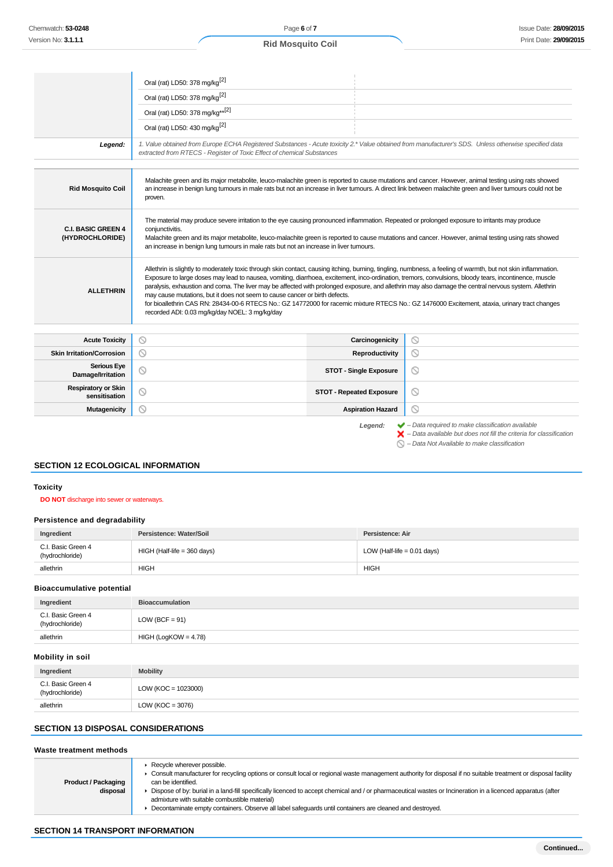|                                              | Oral (rat) LD50: 378 mg/kg <sup>[2]</sup>                                                                                                                                                                                                                                                                                                                                                                                                                                                                                                                                                                                                                                                                                                                            |                                 |                                                                                                                                                                    |
|----------------------------------------------|----------------------------------------------------------------------------------------------------------------------------------------------------------------------------------------------------------------------------------------------------------------------------------------------------------------------------------------------------------------------------------------------------------------------------------------------------------------------------------------------------------------------------------------------------------------------------------------------------------------------------------------------------------------------------------------------------------------------------------------------------------------------|---------------------------------|--------------------------------------------------------------------------------------------------------------------------------------------------------------------|
|                                              | Oral (rat) LD50: 378 mg/kg <sup>[2]</sup>                                                                                                                                                                                                                                                                                                                                                                                                                                                                                                                                                                                                                                                                                                                            |                                 |                                                                                                                                                                    |
|                                              | Oral (rat) LD50: 378 mg/kg** <sup>[2]</sup>                                                                                                                                                                                                                                                                                                                                                                                                                                                                                                                                                                                                                                                                                                                          |                                 |                                                                                                                                                                    |
|                                              | Oral (rat) LD50: 430 mg/kg <sup>[2]</sup>                                                                                                                                                                                                                                                                                                                                                                                                                                                                                                                                                                                                                                                                                                                            |                                 |                                                                                                                                                                    |
| Legend:                                      | 1. Value obtained from Europe ECHA Registered Substances - Acute toxicity 2.* Value obtained from manufacturer's SDS. Unless otherwise specified data<br>extracted from RTECS - Register of Toxic Effect of chemical Substances                                                                                                                                                                                                                                                                                                                                                                                                                                                                                                                                      |                                 |                                                                                                                                                                    |
|                                              |                                                                                                                                                                                                                                                                                                                                                                                                                                                                                                                                                                                                                                                                                                                                                                      |                                 |                                                                                                                                                                    |
| <b>Rid Mosquito Coil</b>                     | Malachite green and its major metabolite, leuco-malachite green is reported to cause mutations and cancer. However, animal testing using rats showed<br>an increase in benign lung tumours in male rats but not an increase in liver tumours. A direct link between malachite green and liver tumours could not be<br>proven.                                                                                                                                                                                                                                                                                                                                                                                                                                        |                                 |                                                                                                                                                                    |
| <b>C.I. BASIC GREEN 4</b><br>(HYDROCHLORIDE) | The material may produce severe irritation to the eye causing pronounced inflammation. Repeated or prolonged exposure to irritants may produce<br>conjunctivitis.<br>Malachite green and its major metabolite, leuco-malachite green is reported to cause mutations and cancer. However, animal testing using rats showed<br>an increase in benign lung tumours in male rats but not an increase in liver tumours.                                                                                                                                                                                                                                                                                                                                                   |                                 |                                                                                                                                                                    |
| <b>ALLETHRIN</b>                             | Allethrin is slightly to moderately toxic through skin contact, causing itching, burning, tingling, numbness, a feeling of warmth, but not skin inflammation.<br>Exposure to large doses may lead to nausea, vomiting, diarrhoea, excitement, inco-ordination, tremors, convulsions, bloody tears, incontinence, muscle<br>paralysis, exhaustion and coma. The liver may be affected with prolonged exposure, and allethrin may also damage the central nervous system. Allethrin<br>may cause mutations, but it does not seem to cause cancer or birth defects.<br>for bioallethrin CAS RN: 28434-00-6 RTECS No.: GZ 14772000 for racemic mixture RTECS No.: GZ 1476000 Excitement, ataxia, urinary tract changes<br>recorded ADI: 0.03 mg/kg/day NOEL: 3 mg/kg/day |                                 |                                                                                                                                                                    |
|                                              |                                                                                                                                                                                                                                                                                                                                                                                                                                                                                                                                                                                                                                                                                                                                                                      |                                 |                                                                                                                                                                    |
| <b>Acute Toxicity</b>                        | $\circledcirc$                                                                                                                                                                                                                                                                                                                                                                                                                                                                                                                                                                                                                                                                                                                                                       | Carcinogenicity                 | ⊚                                                                                                                                                                  |
| <b>Skin Irritation/Corrosion</b>             | $\circ$                                                                                                                                                                                                                                                                                                                                                                                                                                                                                                                                                                                                                                                                                                                                                              | Reproductivity                  | $\circledcirc$                                                                                                                                                     |
| <b>Serious Eye</b><br>Damage/Irritation      | $\circledcirc$                                                                                                                                                                                                                                                                                                                                                                                                                                                                                                                                                                                                                                                                                                                                                       | <b>STOT - Single Exposure</b>   | $\circ$                                                                                                                                                            |
| <b>Respiratory or Skin</b><br>sensitisation  | ◎                                                                                                                                                                                                                                                                                                                                                                                                                                                                                                                                                                                                                                                                                                                                                                    | <b>STOT - Repeated Exposure</b> | O                                                                                                                                                                  |
| <b>Mutagenicity</b>                          | ◎                                                                                                                                                                                                                                                                                                                                                                                                                                                                                                                                                                                                                                                                                                                                                                    | <b>Aspiration Hazard</b>        | Q                                                                                                                                                                  |
|                                              |                                                                                                                                                                                                                                                                                                                                                                                                                                                                                                                                                                                                                                                                                                                                                                      | Legend:                         | $\blacktriangleright$ - Data required to make classification available<br>$\blacktriangleright$ - Data available but does not fill the criteria for classification |

– Data Not Available to make classification

### **SECTION 12 ECOLOGICAL INFORMATION**

### **Toxicity**

### **DO NOT** discharge into sewer or waterways.

### **Persistence and degradability**

| Ingredient                            | Persistence: Water/Soil       | Persistence: Air              |
|---------------------------------------|-------------------------------|-------------------------------|
| C.I. Basic Green 4<br>(hydrochloride) | $HIGH$ (Half-life = 360 days) | LOW (Half-life $= 0.01$ days) |
| allethrin                             | HIGH                          | <b>HIGH</b>                   |

### **Bioaccumulative potential**

| Ingredient                            | <b>Bioaccumulation</b> |
|---------------------------------------|------------------------|
| C.I. Basic Green 4<br>(hydrochloride) | $LOW (BCF = 91)$       |
| allethrin                             | $HIGH (LogKOW = 4.78)$ |
|                                       |                        |

### **Mobility in soil**

| Ingredient                            | <b>Mobility</b>       |
|---------------------------------------|-----------------------|
| C.I. Basic Green 4<br>(hydrochloride) | $LOW (KOC = 1023000)$ |
| allethrin                             | LOW ( $KOC = 3076$ )  |

### **SECTION 13 DISPOSAL CONSIDERATIONS**

### **Waste treatment methods**

| <b>Product / Packaging</b><br>disposal | $\blacktriangleright$ Recycle wherever possible.<br>► Consult manufacturer for recycling options or consult local or regional waste management authority for disposal if no suitable treatment or disposal facility<br>can be identified.<br>Dispose of by: burial in a land-fill specifically licenced to accept chemical and / or pharmaceutical wastes or Incineration in a licenced apparatus (after<br>admixture with suitable combustible material)<br>• Decontaminate empty containers. Observe all label safeguards until containers are cleaned and destroyed. |
|----------------------------------------|-------------------------------------------------------------------------------------------------------------------------------------------------------------------------------------------------------------------------------------------------------------------------------------------------------------------------------------------------------------------------------------------------------------------------------------------------------------------------------------------------------------------------------------------------------------------------|
|----------------------------------------|-------------------------------------------------------------------------------------------------------------------------------------------------------------------------------------------------------------------------------------------------------------------------------------------------------------------------------------------------------------------------------------------------------------------------------------------------------------------------------------------------------------------------------------------------------------------------|